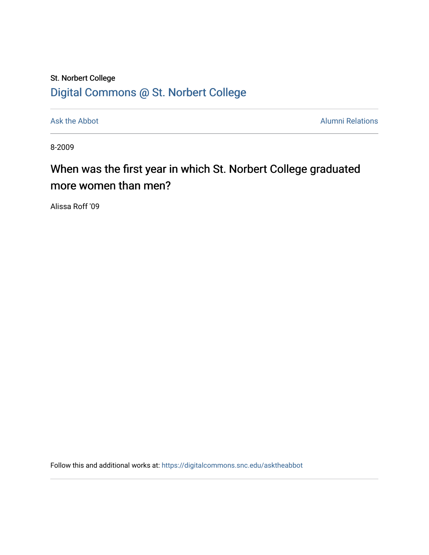## St. Norbert College [Digital Commons @ St. Norbert College](https://digitalcommons.snc.edu/)

[Ask the Abbot](https://digitalcommons.snc.edu/asktheabbot) **Alumni Relations** Alumni Relations

8-2009

## When was the first year in which St. Norbert College graduated more women than men?

Alissa Roff '09

Follow this and additional works at: [https://digitalcommons.snc.edu/asktheabbot](https://digitalcommons.snc.edu/asktheabbot?utm_source=digitalcommons.snc.edu%2Fasktheabbot%2F32&utm_medium=PDF&utm_campaign=PDFCoverPages)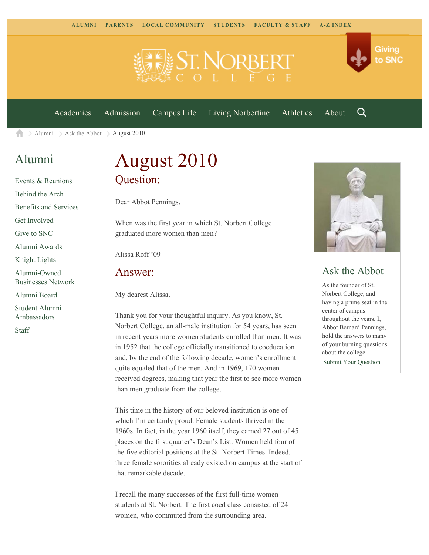

[Academics](https://www.snc.edu/academics) [Admission](https://www.snc.edu/admission) [Campus Life](https://www.snc.edu/campuslife) [Living Norbertine](https://www.snc.edu/livingnorbertine) [Athletics](https://www.snc.edu/athletics) [About](https://www.snc.edu/about)

Q

Giving

to SNC

[Alumni](https://www.snc.edu/alumni/)  $\geq$  [Ask the Abbot](https://www.snc.edu/alumni/abbot/)  $\geq$  August 2010 合

### [Alumni](https://www.snc.edu/alumni/index.html)

[Events & Reunions](https://www.snc.edu/alumni/event/index.html) [Behind the Arch](https://www.snc.edu/alumni/event/behindthearch/) [Benefits and Services](https://www.snc.edu/alumni/benefits.html) [Get Involved](https://www.snc.edu/alumni/getinvolved.html) [Give to SNC](http://giving.snc.edu/) [Alumni Awards](https://www.snc.edu/alumni/awards/index.html) [Knight Lights](https://www.snc.edu/alumni/knightlights/index.html) [Alumni-Owned](https://www.snc.edu/alumni/directory/index.html) [Businesses Network](https://www.snc.edu/alumni/directory/index.html) [Alumni Board](https://www.snc.edu/alumni/alumniboard.html) [Student Alumni](https://www.snc.edu/alumni/saa.html) [Ambassadors](https://www.snc.edu/alumni/saa.html) [Staff](https://www.snc.edu/alumni/contactus.html)

# August 2010 Question:

Dear Abbot Pennings,

When was the first year in which St. Norbert College graduated more women than men?

Alissa Roff '09

#### Answer:

My dearest Alissa,

Thank you for your thoughtful inquiry. As you know, St. Norbert College, an all-male institution for 54 years, has seen in recent years more women students enrolled than men. It was in 1952 that the college officially transitioned to coeducation and, by the end of the following decade, women's enrollment quite equaled that of the men. And in 1969, 170 women received degrees, making that year the first to see more women than men graduate from the college.

This time in the history of our beloved institution is one of which I'm certainly proud. Female students thrived in the 1960s. In fact, in the year 1960 itself, they earned 27 out of 45 places on the first quarter's Dean's List. Women held four of the five editorial positions at the St. Norbert Times. Indeed, three female sororities already existed on campus at the start of that remarkable decade.

I recall the many successes of the first full-time women students at St. Norbert. The first coed class consisted of 24 women, who commuted from the surrounding area.



### Ask the Abbot

As the founder of St. Norbert College, and having a prime seat in the center of campus throughout the years, I, Abbot Bernard Pennings, hold the answers to many of your burning questions about the college. [Submit Your Question](https://www.snc.edu/alumni/abbot/index.html)